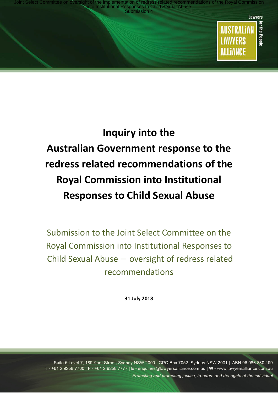

**LAWYERS** 

**ALLIANCE** 

# **Inquiry into the Australian Government response to the redress related recommendations of the Royal Commission into Institutional Responses to Child Sexual Abuse**

Submission to the Joint Select Committee on the Royal Commission into Institutional Responses to Child Sexual Abuse − oversight of redress related recommendations

**31 July 2018**

Suite 5 Level 7, 189 Kent Street, Sydney NSW 2000 | GPO Box 7052, Sydney NSW 2001 | ABN 96 086 880 499 T - +61 2 9258 7700 | F - +61 2 9258 7777 | E - enquiries@lawyersalliance.com.au | W - www.lawyersalliance.com.au Protecting and promoting justice, freedom and the rights of the individual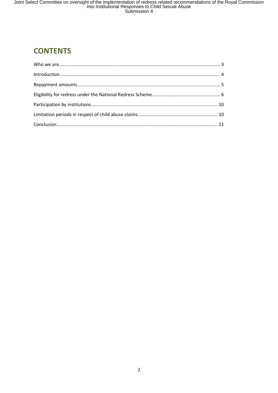## **CONTENTS**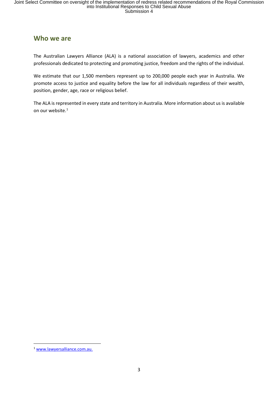### **Who we are**

The Australian Lawyers Alliance (ALA) is a national association of lawyers, academics and other professionals dedicated to protecting and promoting justice, freedom and the rights of the individual.

We estimate that our 1,500 members represent up to 200,000 people each year in Australia. We promote access to justice and equality before the law for all individuals regardless of their wealth, position, gender, age, race or religious belief.

The ALA is represented in every state and territory in Australia. More information about us is available on our website.<sup>1</sup>

 $\overline{a}$ 

<sup>1</sup> www.lawyersalliance.com.au.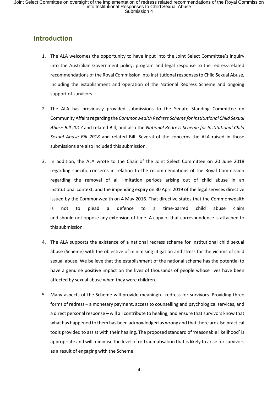## **Introduction**

- 1. The ALA welcomes the opportunity to have input into the Joint Select Committee's inquiry into the Australian Government policy, program and legal response to the redress-related recommendations of the Royal Commission into Institutional responses to Child Sexual Abuse, including the establishment and operation of the National Redress Scheme and ongoing support of survivors.
- 2. The ALA has previously provided submissions to the Senate Standing Committee on Community Affairs regarding the *Commonwealth Redress Scheme for Institutional Child Sexual Abuse Bill 2017* and related Bill, and also the *National Redress Scheme for Institutional Child Sexual Abuse Bill 2018* and related Bill. Several of the concerns the ALA raised in those submissions are also included this submission.
- 3. In addition, the ALA wrote to the Chair of the Joint Select Committee on 20 June 2018 regarding specific concerns in relation to the recommendations of the Royal Commission regarding the removal of all limitation periods arising out of child abuse in an institutional context, and the impending expiry on 30 April 2019 of the legal services directive issued by the Commonwealth on 4 May 2016. That directive states that the Commonwealth is not to plead a defence to a time-barred child abuse claim and should not oppose any extension of time. A copy of that correspondence is attached to this submission.
- 4. The ALA supports the existence of a national redress scheme for institutional child sexual abuse (Scheme) with the objective of minimising litigation and stress for the victims of child sexual abuse. We believe that the establishment of the national scheme has the potential to have a genuine positive impact on the lives of thousands of people whose lives have been affected by sexual abuse when they were children.
- 5. Many aspects of the Scheme will provide meaningful redress for survivors. Providing three forms of redress – a monetary payment, access to counselling and psychological services, and a direct personal response – will all contribute to healing, and ensure that survivors know that what has happened to them has been acknowledged as wrong and that there are also practical tools provided to assist with their healing. The proposed standard of 'reasonable likelihood' is appropriate and will minimise the level of re-traumatisation that is likely to arise for survivors as a result of engaging with the Scheme.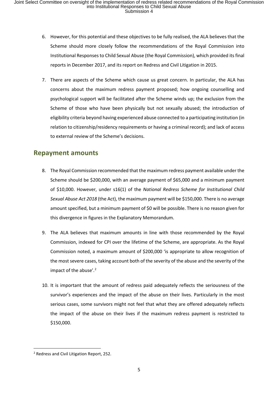- 6. However, for this potential and these objectives to be fully realised, the ALA believes that the Scheme should more closely follow the recommendations of the Royal Commission into Institutional Responses to Child Sexual Abuse (the Royal Commission), which provided its final reports in December 2017, and its report on Redress and Civil Litigation in 2015.
- 7. There are aspects of the Scheme which cause us great concern. In particular, the ALA has concerns about the maximum redress payment proposed; how ongoing counselling and psychological support will be facilitated after the Scheme winds up; the exclusion from the Scheme of those who have been physically but not sexually abused; the introduction of eligibility criteria beyond having experienced abuse connected to a participating institution (in relation to citizenship/residency requirements or having a criminal record); and lack of access to external review of the Scheme's decisions.

## **Repayment amounts**

- 8. The Royal Commission recommended that the maximum redress payment available under the Scheme should be \$200,000, with an average payment of \$65,000 and a minimum payment of \$10,000. However, under s16(1) of the *National Redress Scheme for Institutional Child Sexual Abuse Act 2018* (the Act), the maximum payment will be \$150,000. There is no average amount specified, but a minimum payment of \$0 will be possible. There is no reason given for this divergence in figures in the Explanatory Memorandum.
- 9. The ALA believes that maximum amounts in line with those recommended by the Royal Commission, indexed for CPI over the lifetime of the Scheme, are appropriate. As the Royal Commission noted, a maximum amount of \$200,000 'is appropriate to allow recognition of the most severe cases, taking account both of the severity of the abuse and the severity of the impact of the abuse'. $2$
- 10. It is important that the amount of redress paid adequately reflects the seriousness of the survivor's experiences and the impact of the abuse on their lives. Particularly in the most serious cases, some survivors might not feel that what they are offered adequately reflects the impact of the abuse on their lives if the maximum redress payment is restricted to \$150,000.

 $\overline{a}$ 

<sup>2</sup> Redress and Civil Litigation Report, 252.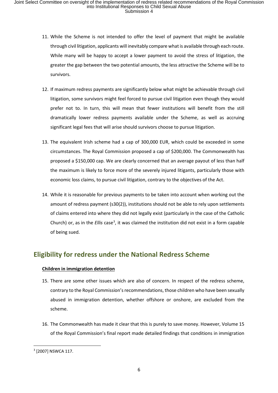- 11. While the Scheme is not intended to offer the level of payment that might be available through civil litigation, applicants will inevitably compare what is available through each route. While many will be happy to accept a lower payment to avoid the stress of litigation, the greater the gap between the two potential amounts, the less attractive the Scheme will be to survivors.
- 12. If maximum redress payments are significantly below what might be achievable through civil litigation, some survivors might feel forced to pursue civil litigation even though they would prefer not to. In turn, this will mean that fewer institutions will benefit from the still dramatically lower redress payments available under the Scheme, as well as accruing significant legal fees that will arise should survivors choose to pursue litigation.
- 13. The equivalent Irish scheme had a cap of 300,000 EUR, which could be exceeded in some circumstances. The Royal Commission proposed a cap of \$200,000. The Commonwealth has proposed a \$150,000 cap. We are clearly concerned that an average payout of less than half the maximum is likely to force more of the severely injured litigants, particularly those with economic loss claims, to pursue civil litigation, contrary to the objectives of the Act.
- 14. While it is reasonable for previous payments to be taken into account when working out the amount of redress payment (s30(2)), institutions should not be able to rely upon settlements of claims entered into where they did not legally exist (particularly in the case of the Catholic Church) or, as in the *Ellis* case<sup>3</sup>, it was claimed the institution did not exist in a form capable of being sued.

## **Eligibility for redress under the National Redress Scheme**

#### **Children in immigration detention**

- 15. There are some other issues which are also of concern. In respect of the redress scheme, contrary to the Royal Commission's recommendations, those children who have been sexually abused in immigration detention, whether offshore or onshore, are excluded from the scheme.
- 16. The Commonwealth has made it clear that this is purely to save money. However, Volume 15 of the Royal Commission's final report made detailed findings that conditions in immigration

**.** 

<sup>3</sup> [2007] NSWCA 117.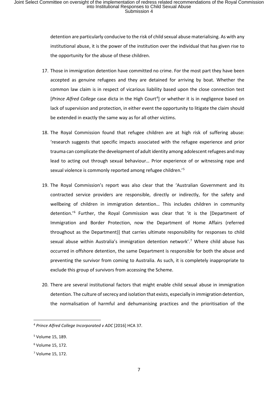detention are particularly conducive to the risk of child sexual abuse materialising. As with any institutional abuse, it is the power of the institution over the individual that has given rise to the opportunity for the abuse of these children.

- 17. Those in immigration detention have committed no crime. For the most part they have been accepted as genuine refugees and they are detained for arriving by boat. Whether the common law claim is in respect of vicarious liability based upon the close connection test [Prince Alfred College case dicta in the High Court<sup>4</sup>] or whether it is in negligence based on lack of supervision and protection, in either event the opportunity to litigate the claim should be extended in exactly the same way as for all other victims.
- 18. The Royal Commission found that refugee children are at high risk of suffering abuse: 'research suggests that specific impacts associated with the refugee experience and prior trauma can complicate the development of adult identity among adolescent refugees and may lead to acting out through sexual behaviour… Prior experience of or witnessing rape and sexual violence is commonly reported among refugee children.'5
- 19. The Royal Commission's report was also clear that the 'Australian Government and its contracted service providers are responsible, directly or indirectly, for the safety and wellbeing of children in immigration detention… This includes children in community detention.'6 Further, the Royal Commission was clear that 'it is the [Department of Immigration and Border Protection, now the Department of Home Affairs (referred throughout as the Department)] that carries ultimate responsibility for responses to child sexual abuse within Australia's immigration detention network'.<sup>7</sup> Where child abuse has occurred in offshore detention, the same Department is responsible for both the abuse and preventing the survivor from coming to Australia. As such, it is completely inappropriate to exclude this group of survivors from accessing the Scheme.
- 20. There are several institutional factors that might enable child sexual abuse in immigration detention. The culture of secrecy and isolation that exists, especially in immigration detention, the normalisation of harmful and dehumanising practices and the prioritisation of the

<u>.</u>

<sup>4</sup> *Prince Alfred College Incorporated v ADC* [2016] HCA 37.

<sup>5</sup> Volume 15, 189.

<sup>6</sup> Volume 15, 172.

<sup>7</sup> Volume 15, 172.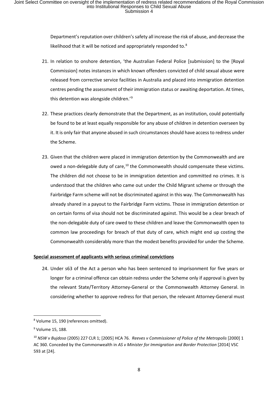Department's reputation over children's safety all increase the risk of abuse, and decrease the likelihood that it will be noticed and appropriately responded to.<sup>8</sup>

- 21. In relation to onshore detention, 'the Australian Federal Police [submission] to the [Royal Commission] notes instances in which known offenders convicted of child sexual abuse were released from corrective service facilities in Australia and placed into immigration detention centres pending the assessment of their immigration status or awaiting deportation. At times, this detention was alongside children.<sup>'9</sup>
- 22. These practices clearly demonstrate that the Department, as an institution, could potentially be found to be at least equally responsible for any abuse of children in detention overseen by it. It is only fair that anyone abused in such circumstances should have access to redress under the Scheme.
- 23. Given that the children were placed in immigration detention by the Commonwealth and are owed a non-delegable duty of care,<sup>10</sup> the Commonwealth should compensate these victims. The children did not choose to be in immigration detention and committed no crimes. It is understood that the children who came out under the Child Migrant scheme or through the Fairbridge Farm scheme will not be discriminated against in this way. The Commonwealth has already shared in a payout to the Fairbridge Farm victims. Those in immigration detention or on certain forms of visa should not be discriminated against. This would be a clear breach of the non-delegable duty of care owed to these children and leave the Commonwealth open to common law proceedings for breach of that duty of care, which might end up costing the Commonwealth considerably more than the modest benefits provided for under the Scheme.

#### **Special assessment of applicants with serious criminal convictions**

24. Under s63 of the Act a person who has been sentenced to imprisonment for five years or longer for a criminal offence can obtain redress under the Scheme only if approval is given by the relevant State/Territory Attorney-General or the Commonwealth Attorney General. In considering whether to approve redress for that person, the relevant Attorney-General must

**.** 

<sup>8</sup> Volume 15, 190 (references omitted).

<sup>&</sup>lt;sup>9</sup> Volume 15, 188.

<sup>10</sup> *NSW v Bujdoso* (2005) 227 CLR 1; [2005] HCA 76. *Reeves v Commissioner of Police of the Metropolis* [2000] 1 AC 360. Conceded by the Commonwealth in *AS v Minister for Immigration and Border Protection* [2014] VSC 593 at [24].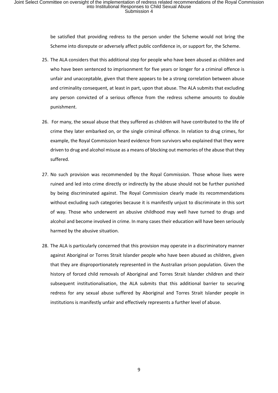be satisfied that providing redress to the person under the Scheme would not bring the Scheme into disrepute or adversely affect public confidence in, or support for, the Scheme.

- 25. The ALA considers that this additional step for people who have been abused as children and who have been sentenced to imprisonment for five years or longer for a criminal offence is unfair and unacceptable, given that there appears to be a strong correlation between abuse and criminality consequent, at least in part, upon that abuse. The ALA submits that excluding any person convicted of a serious offence from the redress scheme amounts to double punishment.
- 26. For many, the sexual abuse that they suffered as children will have contributed to the life of crime they later embarked on, or the single criminal offence. In relation to drug crimes, for example, the Royal Commission heard evidence from survivors who explained that they were driven to drug and alcohol misuse as a means of blocking out memories of the abuse that they suffered.
- 27. No such provision was recommended by the Royal Commission. Those whose lives were ruined and led into crime directly or indirectly by the abuse should not be further punished by being discriminated against. The Royal Commission clearly made its recommendations without excluding such categories because it is manifestly unjust to discriminate in this sort of way. Those who underwent an abusive childhood may well have turned to drugs and alcohol and become involved in crime. In many cases their education will have been seriously harmed by the abusive situation.
- 28. The ALA is particularly concerned that this provision may operate in a discriminatory manner against Aboriginal or Torres Strait Islander people who have been abused as children, given that they are disproportionately represented in the Australian prison population. Given the history of forced child removals of Aboriginal and Torres Strait Islander children and their subsequent institutionalisation, the ALA submits that this additional barrier to securing redress for any sexual abuse suffered by Aboriginal and Torres Strait Islander people in institutions is manifestly unfair and effectively represents a further level of abuse.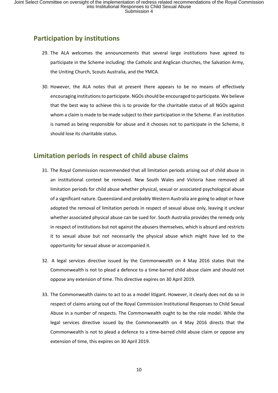## **Participation by institutions**

- 29. The ALA welcomes the announcements that several large institutions have agreed to participate in the Scheme including: the Catholic and Anglican churches, the Salvation Army, the Uniting Church, Scouts Australia, and the YMCA.
- 30. However, the ALA notes that at present there appears to be no means of effectively encouraging institutions to participate. NGOs should be encouraged to participate. We believe that the best way to achieve this is to provide for the charitable status of all NGOs against whom a claim is made to be made subject to their participation in the Scheme. If an institution is named as being responsible for abuse and it chooses not to participate in the Scheme, it should lose its charitable status.

## **Limitation periods in respect of child abuse claims**

- 31. The Royal Commission recommended that all limitation periods arising out of child abuse in an institutional context be removed. New South Wales and Victoria have removed all limitation periods for child abuse whether physical, sexual or associated psychological abuse of a significant nature. Queensland and probably Western Australia are going to adopt or have adopted the removal of limitation periods in respect of sexual abuse only, leaving it unclear whether associated physical abuse can be sued for. South Australia provides the remedy only in respect of institutions but not against the abusers themselves, which is absurd and restricts it to sexual abuse but not necessarily the physical abuse which might have led to the opportunity for sexual abuse or accompanied it.
- 32. A legal services directive issued by the Commonwealth on 4 May 2016 states that the Commonwealth is not to plead a defence to a time-barred child abuse claim and should not oppose any extension of time. This directive expires on 30 April 2019.
- 33. The Commonwealth claims to act to as a model litigant. However, it clearly does not do so in respect of claims arising out of the Royal Commission Institutional Responses to Child Sexual Abuse in a number of respects. The Commonwealth ought to be the role model. While the legal services directive issued by the Commonwealth on 4 May 2016 directs that the Commonwealth is not to plead a defence to a time-barred child abuse claim or oppose any extension of time, this expires on 30 April 2019.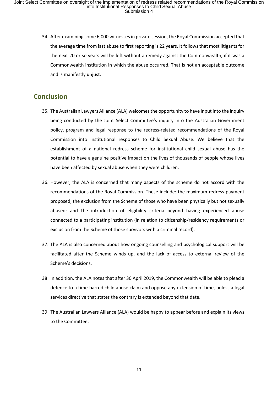34. After examining some 6,000 witnesses in private session, the Royal Commission accepted that the average time from last abuse to first reporting is 22 years. It follows that most litigants for the next 20 or so years will be left without a remedy against the Commonwealth, if it was a Commonwealth institution in which the abuse occurred. That is not an acceptable outcome and is manifestly unjust.

## **Conclusion**

- 35. The Australian Lawyers Alliance (ALA) welcomes the opportunity to have input into the inquiry being conducted by the Joint Select Committee's inquiry into the Australian Government policy, program and legal response to the redress-related recommendations of the Royal Commission into Institutional responses to Child Sexual Abuse. We believe that the establishment of a national redress scheme for institutional child sexual abuse has the potential to have a genuine positive impact on the lives of thousands of people whose lives have been affected by sexual abuse when they were children.
- 36. However, the ALA is concerned that many aspects of the scheme do not accord with the recommendations of the Royal Commission. These include: the maximum redress payment proposed; the exclusion from the Scheme of those who have been physically but not sexually abused; and the introduction of eligibility criteria beyond having experienced abuse connected to a participating institution (in relation to citizenship/residency requirements or exclusion from the Scheme of those survivors with a criminal record).
- 37. The ALA is also concerned about how ongoing counselling and psychological support will be facilitated after the Scheme winds up, and the lack of access to external review of the Scheme's decisions.
- 38. In addition, the ALA notes that after 30 April 2019, the Commonwealth will be able to plead a defence to a time-barred child abuse claim and oppose any extension of time, unless a legal services directive that states the contrary is extended beyond that date.
- 39. The Australian Lawyers Alliance (ALA) would be happy to appear before and explain its views to the Committee.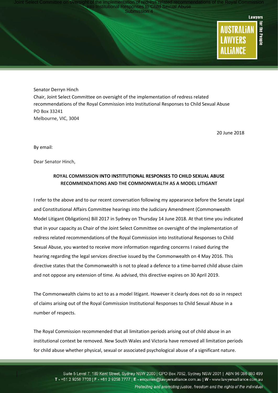Joint Select Committee on oversight of the implementation of redress related recommendations of the Royal Commission<br>into Institutional Responses to Child Sexual Abuse<br>Submission 4



Senator Derryn Hinch Chair, Joint Select Committee on oversight of the implementation of redress related recommendations of the Royal Commission into Institutional Responses to Child Sexual Abuse PO Box 33241 Melbourne, VIC, 3004

20 June 2018

By email:

Dear Senator Hinch,

#### **ROYAL COMMISSION INTO INSTITUTIONAL RESPONSES TO CHILD SEXUAL ABUSE RECOMMENDATIONS AND THE COMMONWEALTH AS A MODEL LITIGANT**

I refer to the above and to our recent conversation following my appearance before the Senate Legal and Constitutional Affairs Committee hearings into the Judiciary Amendment (Commonwealth Model Litigant Obligations) Bill 2017 in Sydney on Thursday 14 June 2018. At that time you indicated that in your capacity as Chair of the Joint Select Committee on oversight of the implementation of redress related recommendations of the Royal Commission into Institutional Responses to Child Sexual Abuse, you wanted to receive more information regarding concerns I raised during the hearing regarding the legal services directive issued by the Commonwealth on 4 May 2016. This directive states that the Commonwealth is not to plead a defence to a time-barred child abuse claim and not oppose any extension of time. As advised, this directive expires on 30 April 2019.

The Commonwealth claims to act to as a model litigant. However it clearly does not do so in respect of claims arising out of the Royal Commission Institutional Responses to Child Sexual Abuse in a number of respects.

The Royal Commission recommended that all limitation periods arising out of child abuse in an institutional context be removed. New South Wales and Victoria have removed all limitation periods for child abuse whether physical, sexual or associated psychological abuse of a significant nature.

Suite 5 Level 7, 189 Kent Street, Sydney NSW 2000 | GPO Box 7052, Sydney NSW 2001 | ABN 96 086 880 499 T - +61 2 9258 7700 | F - +61 2 9258 7777 | E - enquiries@lawyersalliance.com.au | W - www.lawyersalliance.com.au Protecting and promoting justice, freedom and the rights of the individual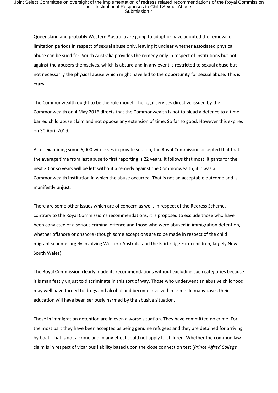Queensland and probably Western Australia are going to adopt or have adopted the removal of limitation periods in respect of sexual abuse only, leaving it unclear whether associated physical abuse can be sued for. South Australia provides the remedy only in respect of institutions but not against the abusers themselves, which is absurd and in any event is restricted to sexual abuse but not necessarily the physical abuse which might have led to the opportunity for sexual abuse. This is crazy.

The Commonwealth ought to be the role model. The legal services directive issued by the Commonwealth on 4 May 2016 directs that the Commonwealth is not to plead a defence to a timebarred child abuse claim and not oppose any extension of time. So far so good. However this expires on 30 April 2019.

After examining some 6,000 witnesses in private session, the Royal Commission accepted that that the average time from last abuse to first reporting is 22 years. It follows that most litigants for the next 20 or so years will be left without a remedy against the Commonwealth, if it was a Commonwealth institution in which the abuse occurred. That is not an acceptable outcome and is manifestly unjust.

There are some other issues which are of concern as well. In respect of the Redress Scheme, contrary to the Royal Commission's recommendations, it is proposed to exclude those who have been convicted of a serious criminal offence and those who were abused in immigration detention, whether offshore or onshore (though some exceptions are to be made in respect of the child migrant scheme largely involving Western Australia and the Fairbridge Farm children, largely New South Wales).

The Royal Commission clearly made its recommendations without excluding such categories because it is manifestly unjust to discriminate in this sort of way. Those who underwent an abusive childhood may well have turned to drugs and alcohol and become involved in crime. In many cases their education will have been seriously harmed by the abusive situation.

Those in immigration detention are in even a worse situation. They have committed no crime. For the most part they have been accepted as being genuine refugees and they are detained for arriving by boat. That is not a crime and in any effect could not apply to children. Whether the common law claim is in respect of vicarious liability based upon the close connection test [*Prince Alfred College*